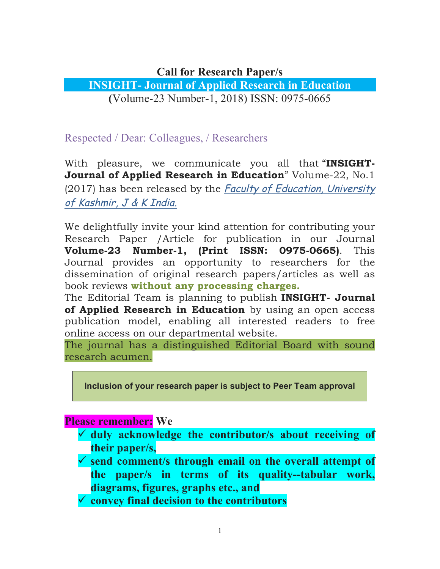## **Call for Research Paper/s**

## **INSIGHT- Journal of Applied Research in Education (**Volume-23 Number-1, 2018) ISSN: 0975-0665

Respected / Dear: Colleagues, / Researchers

With pleasure, we communicate you all that "**INSIGHT-Journal of Applied Research in Education**" Volume-22, No.1 (2017) has been released by the Faculty of Education, University of Kashmir, J & K India.

We delightfully invite your kind attention for contributing your Research Paper /Article for publication in our Journal **Volume-23 Number-1, (Print ISSN: 0975-0665)**. This Journal provides an opportunity to researchers for the dissemination of original research papers/articles as well as book reviews **without any processing charges.**

The Editorial Team is planning to publish **INSIGHT- Journal of Applied Research in Education** by using an open access publication model, enabling all interested readers to free online access on our departmental website.

The journal has a distinguished Editorial Board with sound research acumen.

**Inclusion of your research paper is subject to Peer Team approval**

**Please remember: We**

- ü **duly acknowledge the contributor/s about receiving of their paper/s,**
- ü **send comment/s through email on the overall attempt of the paper/s in terms of its quality--tabular work, diagrams, figures, graphs etc., and**
- ü **convey final decision to the contributors**